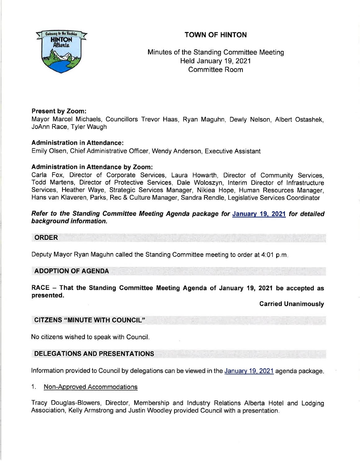# TOWN OF HINTON



Minutes of the Standing Committee Meeting Held January 19,2021 Committee Room

## Present by Zoom:

Mayor Marcel Michaels, Councillors Trevor Haas, Ryan Maguhn, Dewly Nelson, Albert Ostashek, JoAnn Race, Tyler Waugh

# **Administration in Attendance:**

Emily Olsen, Chief Administrative Officer, Wendy Anderson, Executive Assistant

## Administration in Attendance by Zoom:

Carla Fox, Director of Corporate Services, Laura Howarth, Director of Community Services, Todd Martens, Director of Protective Services, Dale Woloszyn, lnterim Director of lnfrastructure Services, Heather Waye, Strategic Services Manager, Nikiea Hope, Human Resources Manager, Hans van Klaveren, Parks, Rec & Culture Manager, Sandra Rendle, Legislative Services Coordinator

# Refer to the Standing Committee Meeting Agenda package for January 19, 2021 for detailed background information.

## ORDER

Deputy Mayor Ryan Maguhn called the Standing Committee meeting to order at 4:01 p.m

## ADOPTION OF AGENDA

RACE - That the Standing Committee Meeting Agenda of January 19, 2021 be accepted as presented.

Carried Unanimously

## CITZENS "MINUTE WTH COUNCIL''

No citizens wished to speak with Council.

## DELEGATIONS AND PRESENTATIONS

lnformation provided to Council by delegations can be viewed in the Januarv 19,2021 agenda package

1. Non-Approved Accommodations

Tracy Douglas-Blowers, Director, Membership and lndustry Relations Alberta Hotel and Lodging Association, Kelly Armstrong and Justin Woodley provided Council with a presentation.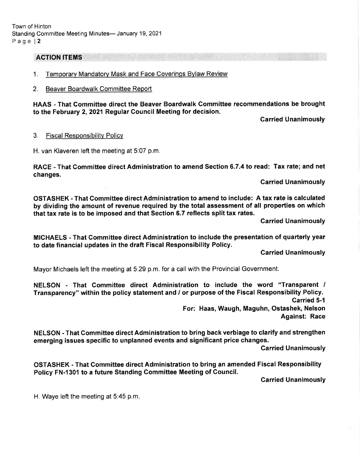### ACTION ITEMS

- 1. Temporary Mandatory Mask and Face Coverings Bylaw Review
- 2. Beaver Boardwalk Committee Report

HAAS - That Committee direct the Beaver Boardwalk Committee recommendations be brought to the February 2,2021 Regular Council Meeting for decision.

Garried Unanimously

#### 3. Fiscal Responsibility Policy

H. van Klaveren left the meeting at 5:07 p.m.

RACE - That Gommittee direct Administration to amend Section 6.7.4 to read: Tax rate; and net changes.

Carried Unanimously

OSTASHEK - That Gommittee direct Administration to amend to include: A tax rate is calculated by dividing the amount of revenue required by the total assessment of all properties on whlch that tax rate is to be imposed and that Section 6.7 reflects split tax rates.

Garried Unanimously

MICHAELS - That Committee direct Administration to include the presentation of quarterly year to date financial updates in the draft Fiscal Responsibility Policy.

Carried Unanimously

Mayor Michaels left the meeting at 5:29 p.m. for a call with the Provincial Government.

NELSON - That Committee direct Administration to include the word "Transparent / Transparency" within the policy statement and / or purpose of the Fiscal Responsibility Policy.

Garried 5-1

For: Haas, Waugh, Maguhn, Ostashek, Nelson Against: Race

NELSON - That Committee direct Administration to bring back verbiage to clarify and strengthen emerging issues specific to unplanned events and significant price changes.

Carried Unanimously

OSTASHEK - That Committee direct Administration to bring an amended Fiscal Responsibility Policy FN-1301 to a future Standing Gommittee Meeting of Council.

Carried Unanimously

H. Waye left the meeting at 5:45 p.m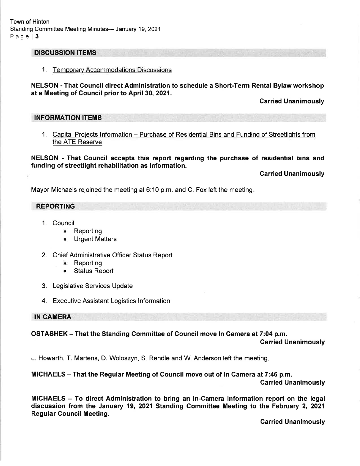Town of Hinton Standing Committee Meeting Minutes- January 19, 2021 Page | 3

### DISCUSSION ITEMS

1. Temporarv Accommodations Discussions

NELSON - That Council direct Administration to schedule a Short-Term Rental Bylaw workshop at a Meeting of Council prior to April 30,2021.

Carried Unanimously

### INFORMATION ITEMS

1. Capital Projects Information - Purchase of Residential Bins and Funding of Streetlights from the ATE Reserve

NELSON - That Gouncil accepts this report regarding the purchase of residential bins and funding of streetlight rehabilitation as information.

Carried Unanimously

Mayor Michaels rejoined the meeting at 6:10 p.m. and C. Fox left the meeting

### REPORTING

- 1. Council
	- . Reporting
	- . Urgent Matters
- 2. Chief Administrative Officer Status Report
	- Reporting
	- . Status Report
- 3. Legislative Services Update
- 4. Executive Assistant Logistics lnformation

### IN CAMERA

# OSTASHEK - That the Standing Gommittee of Gouncil move ln Camera at 7:04 p.m.

Garried Unanimously

L. Howarth, T. Martens, D. Woloszyn, S. Rendle and W. Anderson left the meeting

## MICHAELS - That the Regular Meeting of Council move out of ln Camera at 7:46 p.m.

Carried Unanimously

MIGHAELS - To direct Administration to bring an ln-Camera information report on the legal discussion from the January 19, 2021 Standing Gommittee Meeting to the February 2, 2021 Regular Gouncil Meeting.

Garried Unanimously